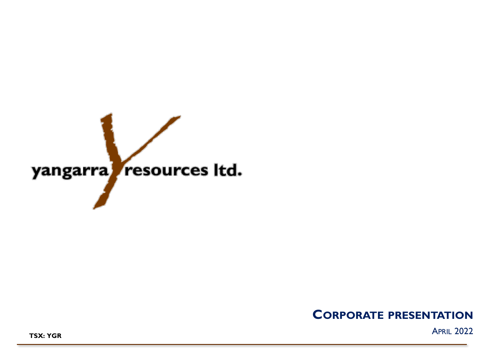

# **CORPORATE PRESENTATION**

APRIL 2022 **TSX: YGR**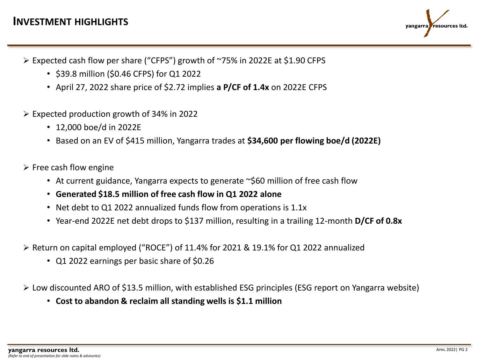

- ➢ Expected cash flow per share ("CFPS") growth of ~75% in 2022E at \$1.90 CFPS
	- \$39.8 million (\$0.46 CFPS) for Q1 2022
	- April 27, 2022 share price of \$2.72 implies **a P/CF of 1.4x** on 2022E CFPS
- $\geq$  Expected production growth of 34% in 2022
	- 12,000 boe/d in 2022E
	- Based on an EV of \$415 million, Yangarra trades at **\$34,600 per flowing boe/d (2022E)**
- $\triangleright$  Free cash flow engine
	- At current guidance, Yangarra expects to generate ~\$60 million of free cash flow
	- **Generated \$18.5 million of free cash flow in Q1 2022 alone**
	- Net debt to Q1 2022 annualized funds flow from operations is 1.1x
	- Year-end 2022E net debt drops to \$137 million, resulting in a trailing 12-month **D/CF of 0.8x**
- ➢ Return on capital employed ("ROCE") of 11.4% for 2021 & 19.1% for Q1 2022 annualized
	- Q1 2022 earnings per basic share of \$0.26
- ➢ Low discounted ARO of \$13.5 million, with established ESG principles (ESG report on Yangarra website)
	- **Cost to abandon & reclaim all standing wells is \$1.1 million**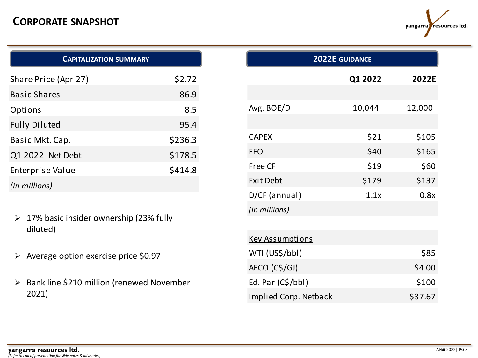# **CORPORATE SNAPSHOT**



| <b>CAPITALIZATION SUMMARY</b> |         |
|-------------------------------|---------|
| Share Price (Apr 27)          | \$2.72  |
| <b>Basic Shares</b>           | 86.9    |
| Options                       | 8.5     |
| <b>Fully Diluted</b>          | 95.4    |
| Basic Mkt. Cap.               | \$236.3 |
| Q1 2022 Net Debt              | \$178.5 |
| Enterprise Value              | \$414.8 |
| (in millions)                 |         |

- ➢ 17% basic insider ownership (23% fully diluted)
- ➢ Average option exercise price \$0.97
- ➢ Bank line \$210 million (renewed November 2021)

| <b>2022E GUIDANCE</b>        |         |         |  |  |
|------------------------------|---------|---------|--|--|
|                              | Q1 2022 | 2022E   |  |  |
|                              |         |         |  |  |
| Avg. BOE/D                   | 10,044  | 12,000  |  |  |
|                              |         |         |  |  |
| <b>CAPEX</b>                 | \$21    | \$105   |  |  |
| <b>FFO</b>                   | \$40    | \$165   |  |  |
| Free CF                      | \$19    | \$60    |  |  |
| <b>Exit Debt</b>             | \$179   | \$137   |  |  |
| D/CF (annual)                | 1.1x    | 0.8x    |  |  |
| (in millions)                |         |         |  |  |
|                              |         |         |  |  |
| <b>Key Assumptions</b>       |         |         |  |  |
| WTI (US\$/bbl)               |         | \$85    |  |  |
| AECO (C\$/GJ)                |         | \$4.00  |  |  |
| Ed. Par (C\$/bbl)            |         | \$100   |  |  |
| <b>Implied Corp. Netback</b> |         | \$37.67 |  |  |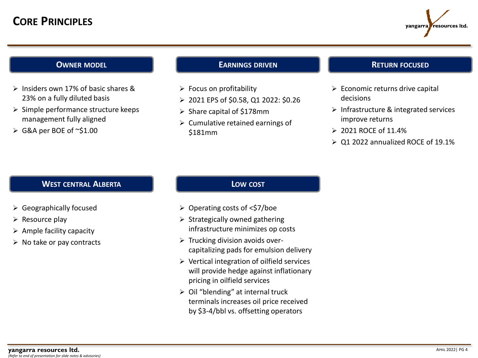

### **OWNER MODEL**

- ➢ Insiders own 17% of basic shares & 23% on a fully diluted basis
- ➢ Simple performance structure keeps management fully aligned
- ➢ G&A per BOE of ~\$1.00

### **EARNINGS DRIVEN**

- $\triangleright$  Focus on profitability
- ➢ 2021 EPS of \$0.58, Q1 2022: \$0.26
- ➢ Share capital of \$178mm
- $\triangleright$  Cumulative retained earnings of \$181mm

### **RETURN FOCUSED**

- ➢ Economic returns drive capital decisions
- ➢ Infrastructure & integrated services improve returns
- ➢ 2021 ROCE of 11.4%
- ➢ Q1 2022 annualized ROCE of 19.1%

### **WEST CENTRAL ALBERTA**

- ➢ Geographically focused
- $\triangleright$  Resource play
- $\triangleright$  Ample facility capacity
- $\triangleright$  No take or pay contracts

## **LOW COST**

- ➢ Operating costs of <\$7/boe
- $\triangleright$  Strategically owned gathering infrastructure minimizes op costs
- ➢ Trucking division avoids overcapitalizing pads for emulsion delivery
- ➢ Vertical integration of oilfield services will provide hedge against inflationary pricing in oilfield services
- ➢ Oil "blending" at internal truck terminals increases oil price received by \$3-4/bbl vs. offsetting operators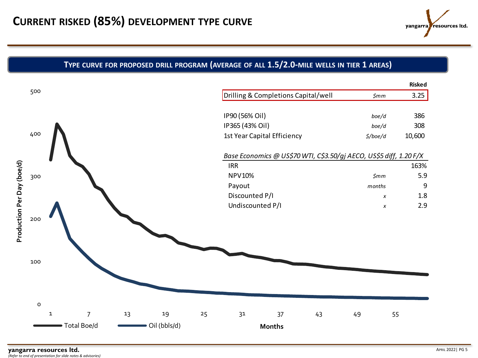

## **TYPE CURVE FOR PROPOSED DRILL PROGRAM (AVERAGE OF ALL 1.5/2.0-MILE WELLS IN TIER 1 AREAS)**

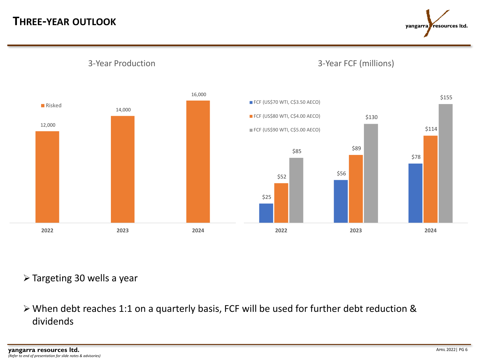# **THREE-YEAR OUTLOOK**

yangarra resources Itd.



3-Year Production

3-Year FCF (millions)

## ➢ Targeting 30 wells a year

➢ When debt reaches 1:1 on a quarterly basis, FCF will be used for further debt reduction & dividends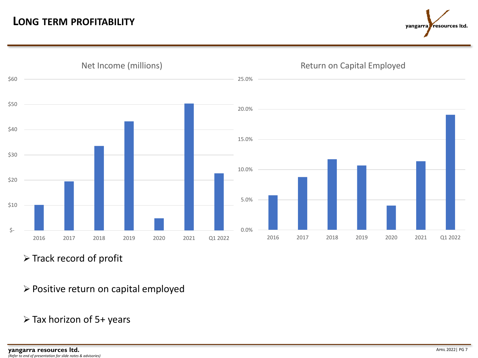



➢ Track record of profit

- ➢ Positive return on capital employed
- ➢ Tax horizon of 5+ years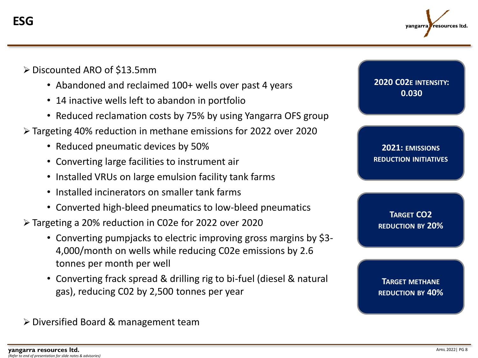

- ➢ Discounted ARO of \$13.5mm
	- Abandoned and reclaimed 100+ wells over past 4 years
	- 14 inactive wells left to abandon in portfolio
	- Reduced reclamation costs by 75% by using Yangarra OFS group
- ➢ Targeting 40% reduction in methane emissions for 2022 over 2020
	- Reduced pneumatic devices by 50%
	- Converting large facilities to instrument air
	- Installed VRUs on large emulsion facility tank farms
	- Installed incinerators on smaller tank farms
	- Converted high-bleed pneumatics to low-bleed pneumatics
- ➢ Targeting a 20% reduction in C02e for 2022 over 2020
	- Converting pumpjacks to electric improving gross margins by \$3- 4,000/month on wells while reducing C02e emissions by 2.6 tonnes per month per well
	- Converting frack spread & drilling rig to bi-fuel (diesel & natural gas), reducing C02 by 2,500 tonnes per year

➢ Diversified Board & management team

**2020 C02E INTENSITY: 0.030**

**2021: EMISSIONS REDUCTION INITIATIVES**

**TARGET CO2 REDUCTION BY 20%**

**TARGET METHANE REDUCTION BY 40%**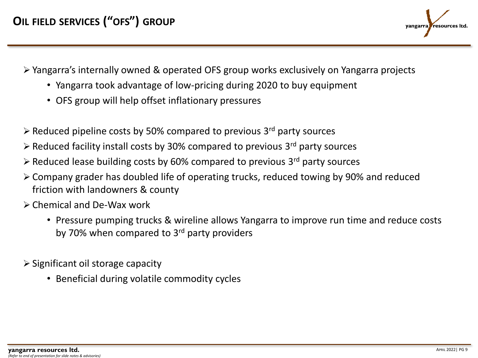

- ➢ Yangarra's internally owned & operated OFS group works exclusively on Yangarra projects
	- Yangarra took advantage of low-pricing during 2020 to buy equipment
	- OFS group will help offset inflationary pressures
- $\triangleright$  Reduced pipeline costs by 50% compared to previous 3<sup>rd</sup> party sources
- $\triangleright$  Reduced facility install costs by 30% compared to previous 3<sup>rd</sup> party sources
- $\triangleright$  Reduced lease building costs by 60% compared to previous 3<sup>rd</sup> party sources
- ➢ Company grader has doubled life of operating trucks, reduced towing by 90% and reduced friction with landowners & county
- ➢ Chemical and De-Wax work
	- Pressure pumping trucks & wireline allows Yangarra to improve run time and reduce costs by 70% when compared to 3<sup>rd</sup> party providers
- ➢ Significant oil storage capacity
	- Beneficial during volatile commodity cycles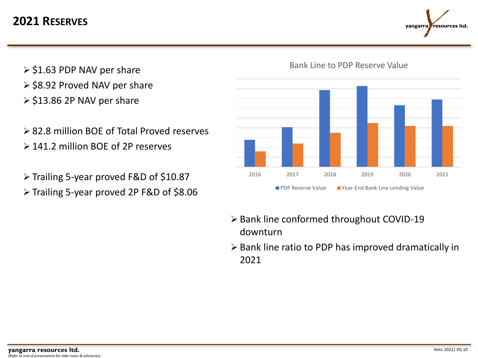# **2021 RESERVES**



- $\ge$  \$1.63 PDP NAV per share
- ➢ \$8.92 Proved NAV per share
- ➢ \$13.86 2P NAV per share
- ➢ 82.8 million BOE of Total Proved reserves ➢ 141.2 million BOE of 2P reserves
- ➢ Trailing 5-year proved F&D of \$10.87
- ➢ Trailing 5-year proved 2P F&D of \$8.06



## Bank Line to PDP Reserve Value

- ➢ Bank line conformed throughout COVID-19 downturn
- ➢ Bank line ratio to PDP has improved dramatically in 2021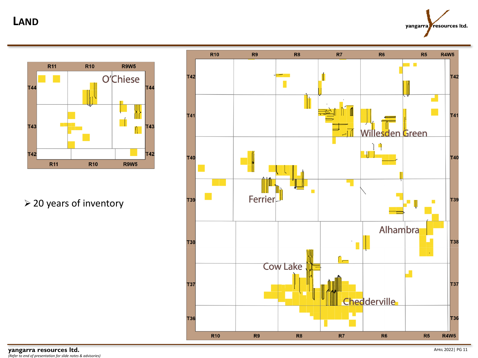**LAND**

yangarra resources Itd.



➢ 20 years of inventory



**yangarra resources ltd.** <sup>A</sup>PRIL 2022| PG 11 *(Refer to end of presentation for slide notes & advisories)*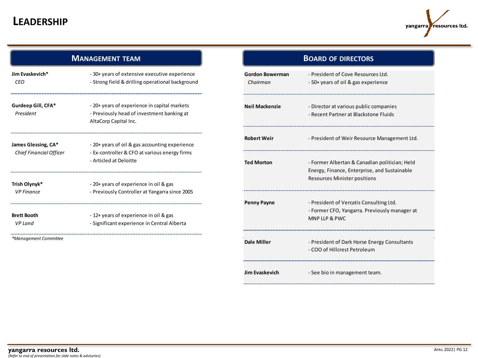# **LEADERSHIP**



| <b>MANAGEMENT TEAM</b>                                |                                                                                                                     | <b>BOARD OF DIRECTORS</b>          |                                                                              |
|-------------------------------------------------------|---------------------------------------------------------------------------------------------------------------------|------------------------------------|------------------------------------------------------------------------------|
| Jim Evaskevich*<br>CEO                                | - 30+ years of extensive executive experience<br>- Strong field & drilling operational background                   | <b>Gordon Bowerman</b><br>Chairman | - President of Cove Resourc<br>- 50+ years of oil & gas expe                 |
| Gurdeep Gill, CFA*<br>President                       | - 20+ years of experience in capital markets<br>- Previously head of investment banking at<br>AltaCorp Capital Inc. | <b>Neil Mackenzie</b>              | - Director at various public c<br>- Recent Partner at Blacksto               |
| James Glessing, CA*<br><b>Chief Financial Officer</b> | - 20+ years of oil & gas accounting experience                                                                      | <b>Robert Weir</b>                 | - President of Weir Resourc                                                  |
|                                                       | - Ex-controller & CFO at various energy firms<br>- Articled at Deloitte                                             | <b>Ted Morton</b>                  | - Former Albertan & Canadia<br>Energy, Finance, Enterprise,                  |
| Trish Olynyk*<br><b>VP Finance</b>                    | - 20+ years of experience in oil & gas<br>- Previously Controller at Yangarra since 2005                            |                                    | Resources Minister position                                                  |
| <b>Brett Booth</b>                                    | -12+ years of experience in oil & gas                                                                               | <b>Penny Payne</b>                 | - President of Vercatis Cons<br>- Former CFO, Yangarra. Pre<br>MNP LLP & PWC |
| <b>VP Land</b>                                        | - Significant experience in Central Alberta                                                                         |                                    |                                                                              |
| *Management Committee                                 |                                                                                                                     | <b>Dale Miller</b>                 | - President of Dark Horse En                                                 |

|                             | <b>BOARD OF DIRECTORS</b>                                                                                                            |
|-----------------------------|--------------------------------------------------------------------------------------------------------------------------------------|
| Gordon Bowerman<br>Chairman | - President of Cove Resources Ltd.<br>- 50+ years of oil & gas experience                                                            |
| Neil Mackenzie              | - Director at various public companies<br>- Recent Partner at Blackstone Fluids                                                      |
| Robert Weir                 | - President of Weir Resource Management Ltd.                                                                                         |
| <b>Ted Morton</b>           | - Former Albertan & Canadian politician; Held<br>Energy, Finance, Enterprise, and Sustainable<br><b>Resources Minister positions</b> |
| Penny Payne                 | - President of Vercatis Consulting Ltd.<br>- Former CFO, Yangarra. Previously manager at<br>MNP LLP & PWC                            |
| Dale Miller                 | - President of Dark Horse Energy Consultants<br>- COO of Hillcrest Petroleum                                                         |
| Jim Evaskevich              | - See bio in management team.                                                                                                        |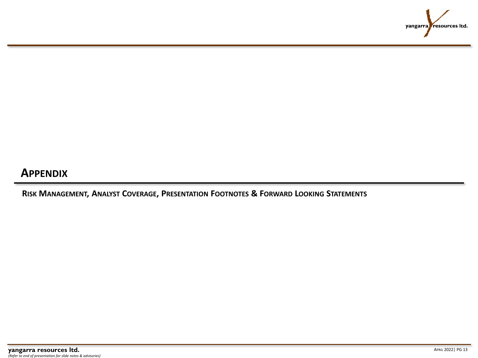

# **APPENDIX**

**RISK MANAGEMENT, ANALYST COVERAGE, PRESENTATION FOOTNOTES & FORWARD LOOKING STATEMENTS**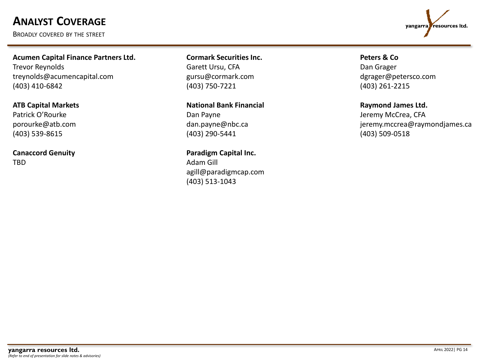# **ANALYST COVERAGE**

BROADLY COVERED BY THE STREET



**Acumen Capital Finance Partners Ltd.** Trevor Reynolds treynolds@acumencapital.com (403) 410-6842

**ATB Capital Markets** Patrick O'Rourke porourke@atb.com (403) 539-8615

**Canaccord Genuity** TBD

**Cormark Securities Inc.**  Garett Ursu, CFA gursu@cormark.com (403) 750-7221

**National Bank Financial** Dan Payne dan.payne@nbc.ca (403) 290-5441

**Paradigm Capital Inc.** Adam Gill agill@paradigmcap.com (403) 513-1043

**Peters & Co** Dan Grager dgrager@petersco.com

(403) 261-2215

### **Raymond James Ltd.**

Jeremy McCrea, CFA jeremy.mccrea@raymondjames.ca (403) 509-0518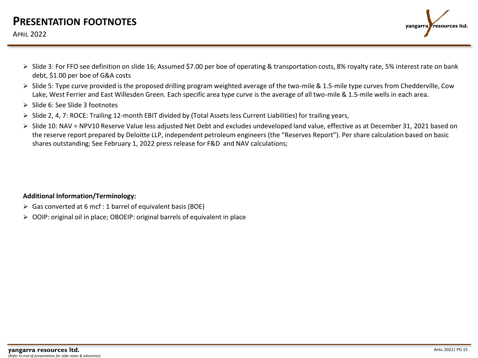# **PRESENTATION FOOTNOTES**

### APRIL 2022



- ➢ Slide 3: For FFO see definition on slide 16; Assumed \$7.00 per boe of operating & transportation costs, 8% royalty rate, 5% interest rate on bank debt, \$1.00 per boe of G&A costs
- ➢ Slide 5: Type curve provided is the proposed drilling program weighted average of the two-mile & 1.5-mile type curves from Chedderville, Cow Lake, West Ferrier and East Willesden Green. Each specific area type curve is the average of all two-mile & 1.5-mile wells in each area.
- ➢ Slide 6: See Slide 3 footnotes
- $\triangleright$  Slide 2, 4, 7: ROCE: Trailing 12-month EBIT divided by (Total Assets less Current Liabilities) for trailing years,
- ➢ Slide 10: NAV = NPV10 Reserve Value less adjusted Net Debt and excludes undeveloped land value, effective as at December 31, 2021 based on the reserve report prepared by Deloitte LLP, independent petroleum engineers (the "Reserves Report"). Per share calculation based on basic shares outstanding; See February 1, 2022 press release for F&D and NAV calculations;

### **Additional Information/Terminology:**

- $\triangleright$  Gas converted at 6 mcf : 1 barrel of equivalent basis (BOE)
- ➢ OOIP: original oil in place; OBOEIP: original barrels of equivalent in place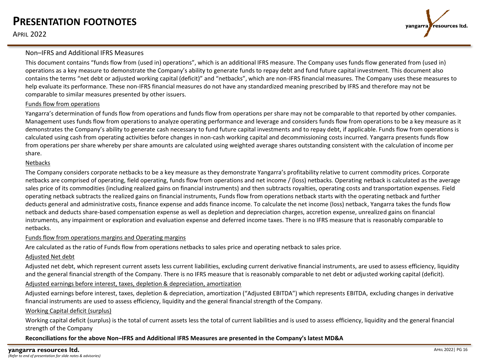## **PRESENTATION FOOTNOTES**

APRIL 2022



### Non–IFRS and Additional IFRS Measures

This document contains "funds flow from (used in) operations", which is an additional IFRS measure. The Company uses funds flow generated from (used in) operations as a key measure to demonstrate the Company's ability to generate funds to repay debt and fund future capital investment. This document also contains the terms "net debt or adjusted working capital (deficit)" and "netbacks", which are non-IFRS financial measures. The Company uses these measures to help evaluate its performance. These non-IFRS financial measures do not have any standardized meaning prescribed by IFRS and therefore may not be comparable to similar measures presented by other issuers.

#### Funds flow from operations

Yangarra's determination of funds flow from operations and funds flow from operations per share may not be comparable to that reported by other companies. Management uses funds flow from operations to analyze operating performance and leverage and considers funds flow from operations to be a key measure as it demonstrates the Company's ability to generate cash necessary to fund future capital investments and to repay debt, if applicable. Funds flow from operations is calculated using cash from operating activities before changes in non-cash working capital and decommissioning costs incurred. Yangarra presents funds flow from operations per share whereby per share amounts are calculated using weighted average shares outstanding consistent with the calculation of income per share.

#### Netbacks

The Company considers corporate netbacks to be a key measure as they demonstrate Yangarra's profitability relative to current commodity prices. Corporate netbacks are comprised of operating, field operating, funds flow from operations and net income / (loss) netbacks. Operating netback is calculated as the average sales price of its commodities (including realized gains on financial instruments) and then subtracts royalties, operating costs and transportation expenses. Field operating netback subtracts the realized gains on financial instruments, Funds flow from operations netback starts with the operating netback and further deducts general and administrative costs, finance expense and adds finance income. To calculate the net income (loss) netback, Yangarra takes the funds flow netback and deducts share-based compensation expense as well as depletion and depreciation charges, accretion expense, unrealized gains on financial instruments, any impairment or exploration and evaluation expense and deferred income taxes. There is no IFRS measure that is reasonably comparable to netbacks.

#### Funds flow from operations margins and Operating margins

Are calculated as the ratio of Funds flow from operations netbacks to sales price and operating netback to sales price.

#### Adjusted Net debt

Adjusted net debt, which represent current assets less current liabilities, excluding current derivative financial instruments, are used to assess efficiency, liquidity and the general financial strength of the Company. There is no IFRS measure that is reasonably comparable to net debt or adjusted working capital (deficit).

Adjusted earnings before interest, taxes, depletion & depreciation, amortization

Adjusted earnings before interest, taxes, depletion & depreciation, amortization ("Adjusted EBITDA") which represents EBITDA, excluding changes in derivative financial instruments are used to assess efficiency, liquidity and the general financial strength of the Company.

### Working Capital deficit (surplus)

Working capital deficit (surplus) is the total of current assets less the total of current liabilities and is used to assess efficiency, liquidity and the general financial strength of the Company

**Reconciliations for the above Non–IFRS and Additional IFRS Measures are presented in the Company's latest MD&A**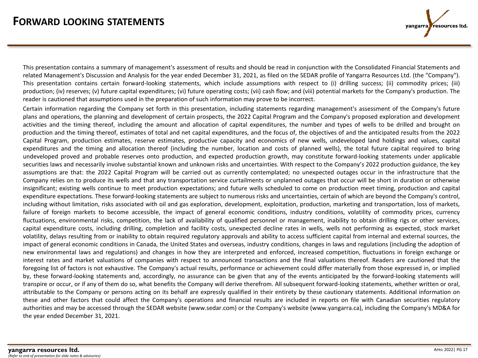This presentation contains a summary of management's assessment of results and should be read in conjunction with the Consolidated Financial Statements and related Management's Discussion and Analysis for the year ended December 31, 2021, as filed on the SEDAR profile of Yangarra Resources Ltd. (the "Company"). This presentation contains certain forward-looking statements, which include assumptions with respect to (i) drilling success; (ii) commodity prices; (iii) production; (iv) reserves; (v) future capital expenditures; (vi) future operating costs; (vii) cash flow; and (viii) potential markets for the Company's production. The reader is cautioned that assumptions used in the preparation of such information may prove to be incorrect.

Certain information regarding the Company set forth in this presentation, including statements regarding management's assessment of the Company's future plans and operations, the planning and development of certain prospects, the 2022 Capital Program and the Company's proposed exploration and development activities and the timing thereof, including the amount and allocation of capital expenditures, the number and types of wells to be drilled and brought on production and the timing thereof, estimates of total and net capital expenditures, and the focus of, the objectives of and the anticipated results from the 2022 Capital Program, production estimates, reserve estimates, productive capacity and economics of new wells, undeveloped land holdings and values, capital expenditures and the timing and allocation thereof (including the number, location and costs of planned wells), the total future capital required to bring undeveloped proved and probable reserves onto production, and expected production growth, may constitute forward-looking statements under applicable securities laws and necessarily involve substantial known and unknown risks and uncertainties. With respect to the Company's 2022 production guidance, the key assumptions are that: the 2022 Capital Program will be carried out as currently contemplated; no unexpected outages occur in the infrastructure that the Company relies on to produce its wells and that any transportation service curtailments or unplanned outages that occur will be short in duration or otherwise insignificant; existing wells continue to meet production expectations; and future wells scheduled to come on production meet timing, production and capital expenditure expectations. These forward-looking statements are subject to numerous risks and uncertainties, certain of which are beyond the Company's control, including without limitation, risks associated with oil and gas exploration, development, exploitation, production, marketing and transportation, loss of markets, failure of foreign markets to become accessible, the impact of general economic conditions, industry conditions, volatility of commodity prices, currency fluctuations, environmental risks, competition, the lack of availability of qualified personnel or management, inability to obtain drilling rigs or other services, capital expenditure costs, including drilling, completion and facility costs, unexpected decline rates in wells, wells not performing as expected, stock market volatility, delays resulting from or inability to obtain required regulatory approvals and ability to access sufficient capital from internal and external sources, the impact of general economic conditions in Canada, the United States and overseas, industry conditions, changes in laws and regulations (including the adoption of new environmental laws and regulations) and changes in how they are interpreted and enforced, increased competition, fluctuations in foreign exchange or interest rates and market valuations of companies with respect to announced transactions and the final valuations thereof. Readers are cautioned that the foregoing list of factors is not exhaustive. The Company's actual results, performance or achievement could differ materially from those expressed in, or implied by, these forward-looking statements and, accordingly, no assurance can be given that any of the events anticipated by the forward-looking statements will transpire or occur, or if any of them do so, what benefits the Company will derive therefrom. All subsequent forward-looking statements, whether written or oral, attributable to the Company or persons acting on its behalf are expressly qualified in their entirety by these cautionary statements. Additional information on these and other factors that could affect the Company's operations and financial results are included in reports on file with Canadian securities regulatory authorities and may be accessed through the SEDAR website (www.sedar.com) or the Company's website (www.yangarra.ca), including the Company's MD&A for the year ended December 31, 2021.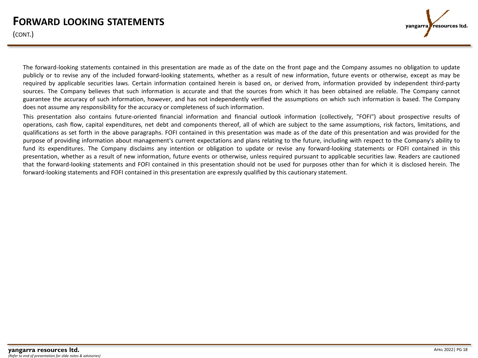## **FORWARD LOOKING STATEMENTS**

(CONT.)



The forward-looking statements contained in this presentation are made as of the date on the front page and the Company assumes no obligation to update publicly or to revise any of the included forward-looking statements, whether as a result of new information, future events or otherwise, except as may be required by applicable securities laws. Certain information contained herein is based on, or derived from, information provided by independent third-party sources. The Company believes that such information is accurate and that the sources from which it has been obtained are reliable. The Company cannot guarantee the accuracy of such information, however, and has not independently verified the assumptions on which such information is based. The Company does not assume any responsibility for the accuracy or completeness of such information.

This presentation also contains future-oriented financial information and financial outlook information (collectively, "FOFI") about prospective results of operations, cash flow, capital expenditures, net debt and components thereof, all of which are subject to the same assumptions, risk factors, limitations, and qualifications as set forth in the above paragraphs. FOFI contained in this presentation was made as of the date of this presentation and was provided for the purpose of providing information about management's current expectations and plans relating to the future, including with respect to the Company's ability to fund its expenditures. The Company disclaims any intention or obligation to update or revise any forward-looking statements or FOFI contained in this presentation, whether as a result of new information, future events or otherwise, unless required pursuant to applicable securities law. Readers are cautioned that the forward-looking statements and FOFI contained in this presentation should not be used for purposes other than for which it is disclosed herein. The forward-looking statements and FOFI contained in this presentation are expressly qualified by this cautionary statement.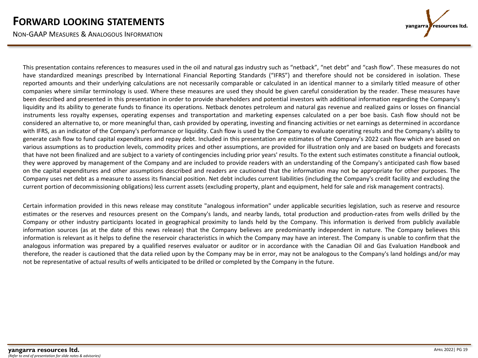NON-GAAP MEASURES & ANALOGOUS INFORMATION

resources Itd. yangarra

This presentation contains references to measures used in the oil and natural gas industry such as "netback", "net debt" and "cash flow". These measures do not have standardized meanings prescribed by International Financial Reporting Standards ("IFRS") and therefore should not be considered in isolation. These reported amounts and their underlying calculations are not necessarily comparable or calculated in an identical manner to a similarly titled measure of other companies where similar terminology is used. Where these measures are used they should be given careful consideration by the reader. These measures have been described and presented in this presentation in order to provide shareholders and potential investors with additional information regarding the Company's liquidity and its ability to generate funds to finance its operations. Netback denotes petroleum and natural gas revenue and realized gains or losses on financial instruments less royalty expenses, operating expenses and transportation and marketing expenses calculated on a per boe basis. Cash flow should not be considered an alternative to, or more meaningful than, cash provided by operating, investing and financing activities or net earnings as determined in accordance with IFRS, as an indicator of the Company's performance or liquidity. Cash flow is used by the Company to evaluate operating results and the Company's ability to generate cash flow to fund capital expenditures and repay debt. Included in this presentation are estimates of the Company's 2022 cash flow which are based on various assumptions as to production levels, commodity prices and other assumptions, are provided for illustration only and are based on budgets and forecasts that have not been finalized and are subject to a variety of contingencies including prior years' results. To the extent such estimates constitute a financial outlook, they were approved by management of the Company and are included to provide readers with an understanding of the Company's anticipated cash flow based on the capital expenditures and other assumptions described and readers are cautioned that the information may not be appropriate for other purposes. The Company uses net debt as a measure to assess its financial position. Net debt includes current liabilities (including the Company's credit facility and excluding the current portion of decommissioning obligations) less current assets (excluding property, plant and equipment, held for sale and risk management contracts).

Certain information provided in this news release may constitute "analogous information" under applicable securities legislation, such as reserve and resource estimates or the reserves and resources present on the Company's lands, and nearby lands, total production and production-rates from wells drilled by the Company or other industry participants located in geographical proximity to lands held by the Company. This information is derived from publicly available information sources (as at the date of this news release) that the Company believes are predominantly independent in nature. The Company believes this information is relevant as it helps to define the reservoir characteristics in which the Company may have an interest. The Company is unable to confirm that the analogous information was prepared by a qualified reserves evaluator or auditor or in accordance with the Canadian Oil and Gas Evaluation Handbook and therefore, the reader is cautioned that the data relied upon by the Company may be in error, may not be analogous to the Company's land holdings and/or may not be representative of actual results of wells anticipated to be drilled or completed by the Company in the future.